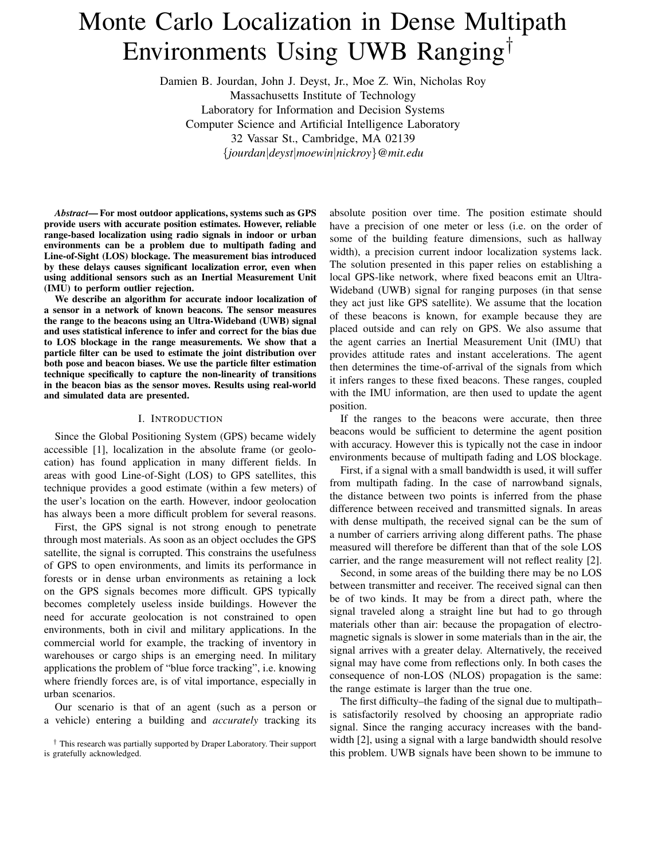# Monte Carlo Localization in Dense Multipath Environments Using UWB Ranging†

Damien B. Jourdan, John J. Deyst, Jr., Moe Z. Win, Nicholas Roy

Massachusetts Institute of Technology Laboratory for Information and Decision Systems Computer Science and Artificial Intelligence Laboratory 32 Vassar St., Cambridge, MA 02139 {*jourdan*|*deyst*|*moewin*|*nickroy*}*@mit.edu*

*Abstract***— For most outdoor applications, systems such as GPS provide users with accurate position estimates. However, reliable range-based localization using radio signals in indoor or urban environments can be a problem due to multipath fading and Line-of-Sight (LOS) blockage. The measurement bias introduced by these delays causes significant localization error, even when using additional sensors such as an Inertial Measurement Unit (IMU) to perform outlier rejection.**

**We describe an algorithm for accurate indoor localization of a sensor in a network of known beacons. The sensor measures the range to the beacons using an Ultra-Wideband (UWB) signal and uses statistical inference to infer and correct for the bias due to LOS blockage in the range measurements. We show that a particle filter can be used to estimate the joint distribution over both pose and beacon biases. We use the particle filter estimation technique specifically to capture the non-linearity of transitions in the beacon bias as the sensor moves. Results using real-world and simulated data are presented.**

#### I. INTRODUCTION

Since the Global Positioning System (GPS) became widely accessible [1], localization in the absolute frame (or geolocation) has found application in many different fields. In areas with good Line-of-Sight (LOS) to GPS satellites, this technique provides a good estimate (within a few meters) of the user's location on the earth. However, indoor geolocation has always been a more difficult problem for several reasons.

First, the GPS signal is not strong enough to penetrate through most materials. As soon as an object occludes the GPS satellite, the signal is corrupted. This constrains the usefulness of GPS to open environments, and limits its performance in forests or in dense urban environments as retaining a lock on the GPS signals becomes more difficult. GPS typically becomes completely useless inside buildings. However the need for accurate geolocation is not constrained to open environments, both in civil and military applications. In the commercial world for example, the tracking of inventory in warehouses or cargo ships is an emerging need. In military applications the problem of "blue force tracking", i.e. knowing where friendly forces are, is of vital importance, especially in urban scenarios.

Our scenario is that of an agent (such as a person or a vehicle) entering a building and *accurately* tracking its absolute position over time. The position estimate should have a precision of one meter or less (i.e. on the order of some of the building feature dimensions, such as hallway width), a precision current indoor localization systems lack. The solution presented in this paper relies on establishing a local GPS-like network, where fixed beacons emit an Ultra-Wideband (UWB) signal for ranging purposes (in that sense they act just like GPS satellite). We assume that the location of these beacons is known, for example because they are placed outside and can rely on GPS. We also assume that the agent carries an Inertial Measurement Unit (IMU) that provides attitude rates and instant accelerations. The agent then determines the time-of-arrival of the signals from which it infers ranges to these fixed beacons. These ranges, coupled with the IMU information, are then used to update the agent position.

If the ranges to the beacons were accurate, then three beacons would be sufficient to determine the agent position with accuracy. However this is typically not the case in indoor environments because of multipath fading and LOS blockage.

First, if a signal with a small bandwidth is used, it will suffer from multipath fading. In the case of narrowband signals, the distance between two points is inferred from the phase difference between received and transmitted signals. In areas with dense multipath, the received signal can be the sum of a number of carriers arriving along different paths. The phase measured will therefore be different than that of the sole LOS carrier, and the range measurement will not reflect reality [2].

Second, in some areas of the building there may be no LOS between transmitter and receiver. The received signal can then be of two kinds. It may be from a direct path, where the signal traveled along a straight line but had to go through materials other than air: because the propagation of electromagnetic signals is slower in some materials than in the air, the signal arrives with a greater delay. Alternatively, the received signal may have come from reflections only. In both cases the consequence of non-LOS (NLOS) propagation is the same: the range estimate is larger than the true one.

The first difficulty–the fading of the signal due to multipath– is satisfactorily resolved by choosing an appropriate radio signal. Since the ranging accuracy increases with the bandwidth [2], using a signal with a large bandwidth should resolve this problem. UWB signals have been shown to be immune to

<sup>†</sup> This research was partially supported by Draper Laboratory. Their support is gratefully acknowledged.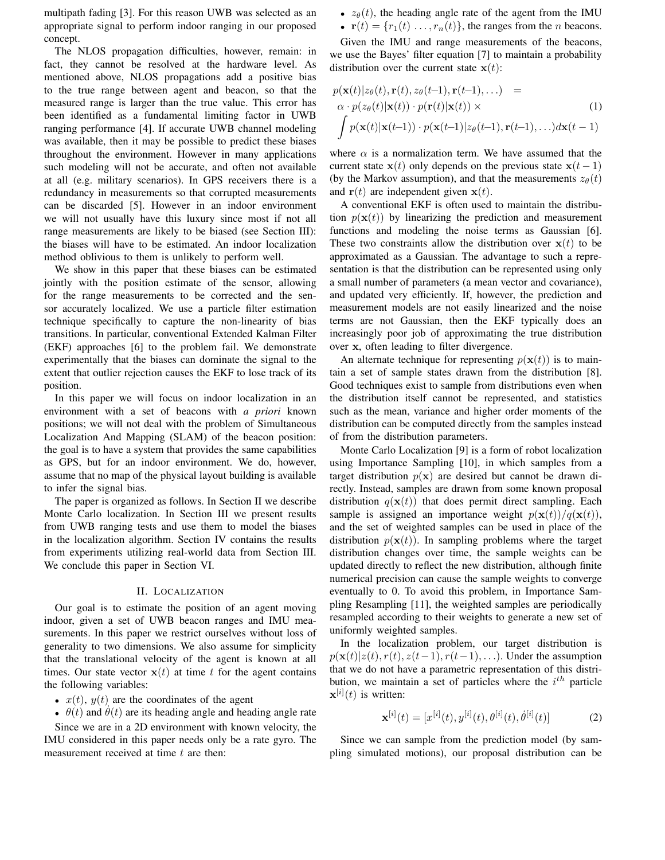multipath fading [3]. For this reason UWB was selected as an appropriate signal to perform indoor ranging in our proposed concept.

The NLOS propagation difficulties, however, remain: in fact, they cannot be resolved at the hardware level. As mentioned above, NLOS propagations add a positive bias to the true range between agent and beacon, so that the measured range is larger than the true value. This error has been identified as a fundamental limiting factor in UWB ranging performance [4]. If accurate UWB channel modeling was available, then it may be possible to predict these biases throughout the environment. However in many applications such modeling will not be accurate, and often not available at all (e.g. military scenarios). In GPS receivers there is a redundancy in measurements so that corrupted measurements can be discarded [5]. However in an indoor environment we will not usually have this luxury since most if not all range measurements are likely to be biased (see Section III): the biases will have to be estimated. An indoor localization method oblivious to them is unlikely to perform well.

We show in this paper that these biases can be estimated jointly with the position estimate of the sensor, allowing for the range measurements to be corrected and the sensor accurately localized. We use a particle filter estimation technique specifically to capture the non-linearity of bias transitions. In particular, conventional Extended Kalman Filter (EKF) approaches [6] to the problem fail. We demonstrate experimentally that the biases can dominate the signal to the extent that outlier rejection causes the EKF to lose track of its position.

In this paper we will focus on indoor localization in an environment with a set of beacons with *a priori* known positions; we will not deal with the problem of Simultaneous Localization And Mapping (SLAM) of the beacon position: the goal is to have a system that provides the same capabilities as GPS, but for an indoor environment. We do, however, assume that no map of the physical layout building is available to infer the signal bias.

The paper is organized as follows. In Section II we describe Monte Carlo localization. In Section III we present results from UWB ranging tests and use them to model the biases in the localization algorithm. Section IV contains the results from experiments utilizing real-world data from Section III. We conclude this paper in Section VI.

# II. LOCALIZATION

Our goal is to estimate the position of an agent moving indoor, given a set of UWB beacon ranges and IMU measurements. In this paper we restrict ourselves without loss of generality to two dimensions. We also assume for simplicity that the translational velocity of the agent is known at all times. Our state vector  $x(t)$  at time t for the agent contains the following variables:

- $x(t)$ ,  $y(t)$  are the coordinates of the agent
- $\theta(t)$  and  $\theta(t)$  are its heading angle and heading angle rate

Since we are in a 2D environment with known velocity, the IMU considered in this paper needs only be a rate gyro. The measurement received at time  $t$  are then:

- $z_{\theta}(t)$ , the heading angle rate of the agent from the IMU
- $\mathbf{r}(t) = \{r_1(t), \ldots, r_n(t)\}\$ , the ranges from the *n* beacons.

Given the IMU and range measurements of the beacons, we use the Bayes' filter equation [7] to maintain a probability distribution over the current state  $x(t)$ :

$$
p(\mathbf{x}(t)|z_{\theta}(t), \mathbf{r}(t), z_{\theta}(t-1), \mathbf{r}(t-1), \ldots) =
$$
  
\n
$$
\alpha \cdot p(z_{\theta}(t)|\mathbf{x}(t)) \cdot p(\mathbf{r}(t)|\mathbf{x}(t)) \times
$$
\n
$$
\int p(\mathbf{x}(t)|\mathbf{x}(t-1)) \cdot p(\mathbf{x}(t-1)|z_{\theta}(t-1), \mathbf{r}(t-1), \ldots) d\mathbf{x}(t-1)
$$
\n(1)

where  $\alpha$  is a normalization term. We have assumed that the current state  $x(t)$  only depends on the previous state  $x(t-1)$ (by the Markov assumption), and that the measurements  $z_{\theta}(t)$ and  $\mathbf{r}(t)$  are independent given  $\mathbf{x}(t)$ .

A conventional EKF is often used to maintain the distribution  $p(\mathbf{x}(t))$  by linearizing the prediction and measurement functions and modeling the noise terms as Gaussian [6]. These two constraints allow the distribution over  $x(t)$  to be approximated as a Gaussian. The advantage to such a representation is that the distribution can be represented using only a small number of parameters (a mean vector and covariance), and updated very efficiently. If, however, the prediction and measurement models are not easily linearized and the noise terms are not Gaussian, then the EKF typically does an increasingly poor job of approximating the true distribution over x, often leading to filter divergence.

An alternate technique for representing  $p(\mathbf{x}(t))$  is to maintain a set of sample states drawn from the distribution [8]. Good techniques exist to sample from distributions even when the distribution itself cannot be represented, and statistics such as the mean, variance and higher order moments of the distribution can be computed directly from the samples instead of from the distribution parameters.

Monte Carlo Localization [9] is a form of robot localization using Importance Sampling [10], in which samples from a target distribution  $p(x)$  are desired but cannot be drawn directly. Instead, samples are drawn from some known proposal distribution  $q(\mathbf{x}(t))$  that does permit direct sampling. Each sample is assigned an importance weight  $p(\mathbf{x}(t))/q(\mathbf{x}(t)),$ and the set of weighted samples can be used in place of the distribution  $p(\mathbf{x}(t))$ . In sampling problems where the target distribution changes over time, the sample weights can be updated directly to reflect the new distribution, although finite numerical precision can cause the sample weights to converge eventually to 0. To avoid this problem, in Importance Sampling Resampling [11], the weighted samples are periodically resampled according to their weights to generate a new set of uniformly weighted samples.

In the localization problem, our target distribution is  $p(\mathbf{x}(t)|z(t), r(t), z(t-1), r(t-1), \ldots)$ . Under the assumption that we do not have a parametric representation of this distribution, we maintain a set of particles where the  $i^{th}$  particle  $\mathbf{x}^{[i]}(t)$  is written:

$$
\mathbf{x}^{[i]}(t) = [x^{[i]}(t), y^{[i]}(t), \theta^{[i]}(t), \dot{\theta}^{[i]}(t)] \tag{2}
$$

Since we can sample from the prediction model (by sampling simulated motions), our proposal distribution can be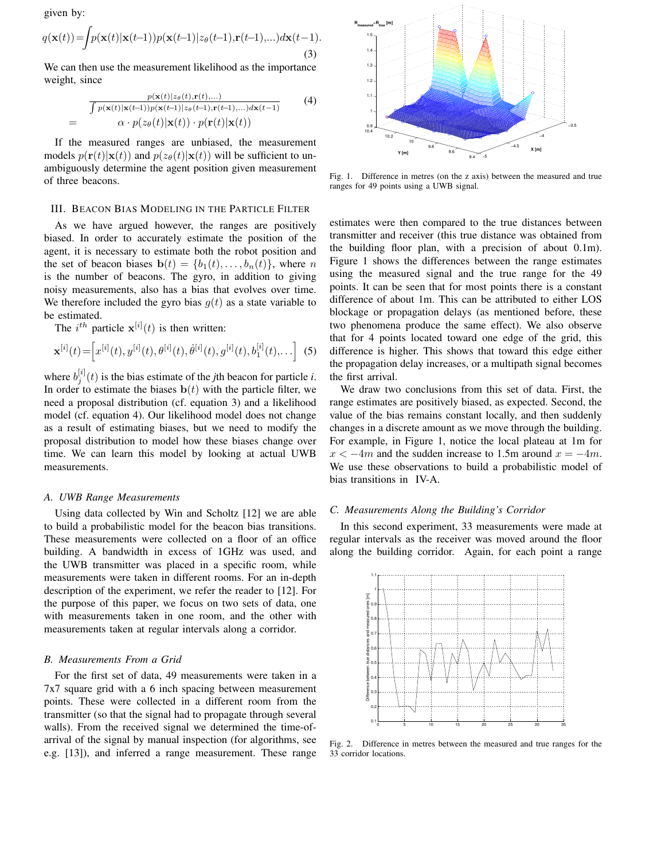given by:

$$
q(\mathbf{x}(t)) = \int p(\mathbf{x}(t)|\mathbf{x}(t-1))p(\mathbf{x}(t-1)|z_{\theta}(t-1), \mathbf{r}(t-1), \dots) d\mathbf{x}(t-1).
$$
\n(3)

We can then use the measurement likelihood as the importance weight, since

$$
= \frac{p(\mathbf{x}(t)|z_{\theta}(t), \mathbf{r}(t), \dots)}{\int p(\mathbf{x}(t)|\mathbf{x}(t-1))p(\mathbf{x}(t-1)|z_{\theta}(t-1), \mathbf{r}(t-1), \dots) d\mathbf{x}(t-1)} \qquad (4)
$$

$$
= \alpha \cdot p(z_{\theta}(t)|\mathbf{x}(t)) \cdot p(\mathbf{r}(t)|\mathbf{x}(t))
$$

If the measured ranges are unbiased, the measurement models  $p(\mathbf{r}(t)|\mathbf{x}(t))$  and  $p(z_{\theta}(t)|\mathbf{x}(t))$  will be sufficient to unambiguously determine the agent position given measurement of three beacons.

#### III. BEACON BIAS MODELING IN THE PARTICLE FILTER

As we have argued however, the ranges are positively biased. In order to accurately estimate the position of the agent, it is necessary to estimate both the robot position and the set of beacon biases  $\mathbf{b}(t) = \{b_1(t), \ldots, b_n(t)\}\text{, where } n$ is the number of beacons. The gyro, in addition to giving noisy measurements, also has a bias that evolves over time. We therefore included the gyro bias  $g(t)$  as a state variable to be estimated.

The  $i^{th}$  particle  $\mathbf{x}^{[i]}(t)$  is then written:

$$
\mathbf{x}^{[i]}(t) = \left[ x^{[i]}(t), y^{[i]}(t), \theta^{[i]}(t), \dot{\theta}^{[i]}(t), g^{[i]}(t), b_1^{[i]}(t), \ldots \right] \tag{5}
$$

where  $b_j^{[i]}(t)$  is the bias estimate of the *j*th beacon for particle *i*. In order to estimate the biases  $\mathbf{b}(t)$  with the particle filter, we need a proposal distribution (cf. equation 3) and a likelihood model (cf. equation 4). Our likelihood model does not change as a result of estimating biases, but we need to modify the proposal distribution to model how these biases change over time. We can learn this model by looking at actual UWB measurements.

#### *A. UWB Range Measurements*

Using data collected by Win and Scholtz [12] we are able to build a probabilistic model for the beacon bias transitions. These measurements were collected on a floor of an office building. A bandwidth in excess of 1GHz was used, and the UWB transmitter was placed in a specific room, while measurements were taken in different rooms. For an in-depth description of the experiment, we refer the reader to [12]. For the purpose of this paper, we focus on two sets of data, one with measurements taken in one room, and the other with measurements taken at regular intervals along a corridor.

## *B. Measurements From a Grid*

For the first set of data, 49 measurements were taken in a 7x7 square grid with a 6 inch spacing between measurement points. These were collected in a different room from the transmitter (so that the signal had to propagate through several walls). From the received signal we determined the time-ofarrival of the signal by manual inspection (for algorithms, see e.g. [13]), and inferred a range measurement. These range



Fig. 1. Difference in metres (on the z axis) between the measured and true ranges for 49 points using a UWB signal.

estimates were then compared to the true distances between transmitter and receiver (this true distance was obtained from the building floor plan, with a precision of about 0.1m). Figure 1 shows the differences between the range estimates using the measured signal and the true range for the 49 points. It can be seen that for most points there is a constant difference of about 1m. This can be attributed to either LOS blockage or propagation delays (as mentioned before, these two phenomena produce the same effect). We also observe that for 4 points located toward one edge of the grid, this difference is higher. This shows that toward this edge either the propagation delay increases, or a multipath signal becomes the first arrival.

We draw two conclusions from this set of data. First, the range estimates are positively biased, as expected. Second, the value of the bias remains constant locally, and then suddenly changes in a discrete amount as we move through the building. For example, in Figure 1, notice the local plateau at 1m for  $x < -4m$  and the sudden increase to 1.5m around  $x = -4m$ . We use these observations to build a probabilistic model of bias transitions in IV-A.

#### *C. Measurements Along the Building's Corridor*

In this second experiment, 33 measurements were made at regular intervals as the receiver was moved around the floor along the building corridor. Again, for each point a range



Fig. 2. Difference in metres between the measured and true ranges for the 33 corridor locations.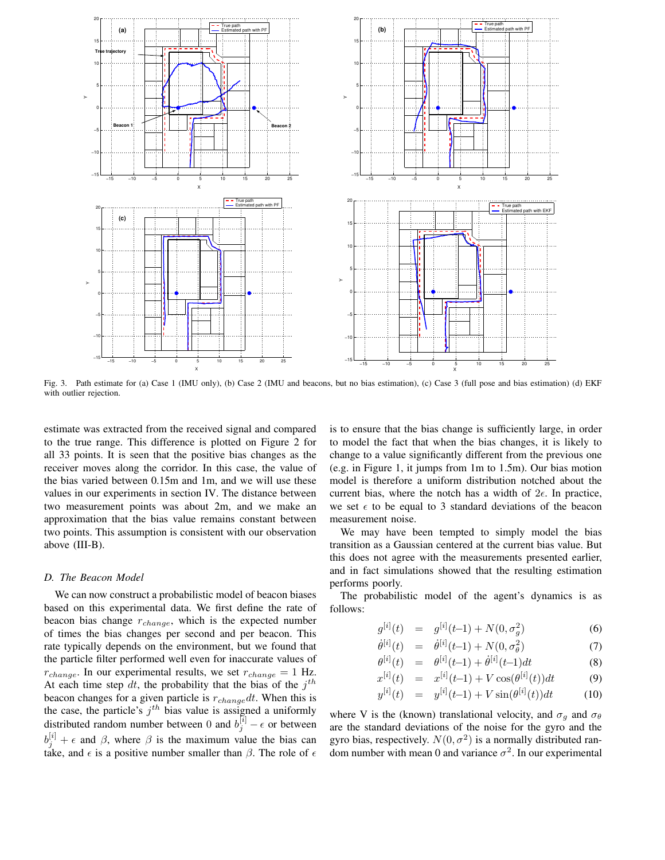

Fig. 3. Path estimate for (a) Case 1 (IMU only), (b) Case 2 (IMU and beacons, but no bias estimation), (c) Case 3 (full pose and bias estimation) (d) EKF with outlier rejection.

estimate was extracted from the received signal and compared to the true range. This difference is plotted on Figure 2 for all 33 points. It is seen that the positive bias changes as the receiver moves along the corridor. In this case, the value of the bias varied between 0.15m and 1m, and we will use these values in our experiments in section IV. The distance between two measurement points was about 2m, and we make an approximation that the bias value remains constant between two points. This assumption is consistent with our observation above (III-B).

## *D. The Beacon Model*

We can now construct a probabilistic model of beacon biases based on this experimental data. We first define the rate of beacon bias change  $r_{change}$ , which is the expected number of times the bias changes per second and per beacon. This rate typically depends on the environment, but we found that the particle filter performed well even for inaccurate values of  $r_{change}$ . In our experimental results, we set  $r_{change} = 1$  Hz. At each time step dt, the probability that the bias of the  $j<sup>th</sup>$ beacon changes for a given particle is  $r_{change}dt$ . When this is the case, the particle's  $j<sup>th</sup>$  bias value is assigned a uniformly distributed random number between 0 and  $b_j^{[i]}$  –  $\epsilon$  or between  $b_j^{[i]} + \epsilon$  and  $\beta$ , where  $\beta$  is the maximum value the bias can take, and  $\epsilon$  is a positive number smaller than  $\beta$ . The role of  $\epsilon$ 

is to ensure that the bias change is sufficiently large, in order to model the fact that when the bias changes, it is likely to change to a value significantly different from the previous one (e.g. in Figure 1, it jumps from 1m to 1.5m). Our bias motion model is therefore a uniform distribution notched about the current bias, where the notch has a width of  $2\epsilon$ . In practice, we set  $\epsilon$  to be equal to 3 standard deviations of the beacon measurement noise.

We may have been tempted to simply model the bias transition as a Gaussian centered at the current bias value. But this does not agree with the measurements presented earlier, and in fact simulations showed that the resulting estimation performs poorly.

The probabilistic model of the agent's dynamics is as follows:

˙θ

 $\boldsymbol{x}$ 

$$
g^{[i]}(t) = g^{[i]}(t-1) + N(0, \sigma_g^2)
$$
 (6)

$$
[i](t) = \dot{\theta}^{[i]}(t-1) + N(0, \sigma_{\theta}^2)
$$
\n(7)

$$
\theta^{[i]}(t) = \theta^{[i]}(t-1) + \dot{\theta}^{[i]}(t-1)dt \tag{8}
$$

$$
{}^{[i]}(t) = x^{[i]}(t-1) + V \cos(\theta^{[i]}(t))dt \tag{9}
$$

$$
y^{[i]}(t) = y^{[i]}(t-1) + V \sin(\theta^{[i]}(t))dt \qquad (10)
$$

where V is the (known) translational velocity, and  $\sigma_g$  and  $\sigma_\theta$ are the standard deviations of the noise for the gyro and the gyro bias, respectively.  $N(0, \sigma^2)$  is a normally distributed random number with mean 0 and variance  $\sigma^2$ . In our experimental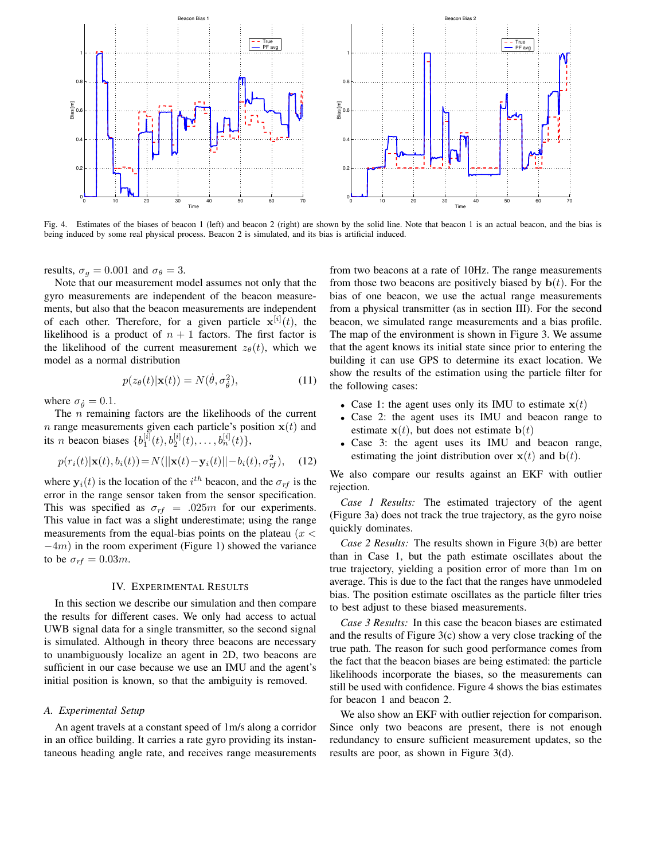

Fig. 4. Estimates of the biases of beacon 1 (left) and beacon 2 (right) are shown by the solid line. Note that beacon 1 is an actual beacon, and the bias is being induced by some real physical process. Beacon 2 is simulated, and its bias is artificial induced.

results,  $\sigma_a = 0.001$  and  $\sigma_{\theta} = 3$ .

Note that our measurement model assumes not only that the gyro measurements are independent of the beacon measurements, but also that the beacon measurements are independent of each other. Therefore, for a given particle  $\mathbf{x}^{[i]}(t)$ , the likelihood is a product of  $n + 1$  factors. The first factor is the likelihood of the current measurement  $z_{\theta}(t)$ , which we model as a normal distribution

$$
p(z_{\theta}(t)|\mathbf{x}(t)) = N(\dot{\theta}, \sigma_{\dot{\theta}}^2), \qquad (11)
$$

where  $\sigma_{\dot{\theta}} = 0.1$ .

The  $n$  remaining factors are the likelihoods of the current n range measurements given each particle's position  $x(t)$  and its *n* beacon biases  $\{b_1^{[i]}(t), b_2^{[i]}(t), \dots, b_n^{[i]}(t)\},$ 

$$
p(r_i(t)|\mathbf{x}(t), b_i(t)) = N(||\mathbf{x}(t) - \mathbf{y}_i(t)|| - b_i(t), \sigma_{rf}^2), \quad (12)
$$

where  $y_i(t)$  is the location of the  $i^{th}$  beacon, and the  $\sigma_{rf}$  is the error in the range sensor taken from the sensor specification. This was specified as  $\sigma_{rf}$  = .025m for our experiments. This value in fact was a slight underestimate; using the range measurements from the equal-bias points on the plateau  $(x <$  $-4m$ ) in the room experiment (Figure 1) showed the variance to be  $\sigma_{rf} = 0.03m$ .

# IV. EXPERIMENTAL RESULTS

In this section we describe our simulation and then compare the results for different cases. We only had access to actual UWB signal data for a single transmitter, so the second signal is simulated. Although in theory three beacons are necessary to unambiguously localize an agent in 2D, two beacons are sufficient in our case because we use an IMU and the agent's initial position is known, so that the ambiguity is removed.

# *A. Experimental Setup*

An agent travels at a constant speed of 1m/s along a corridor in an office building. It carries a rate gyro providing its instantaneous heading angle rate, and receives range measurements from two beacons at a rate of 10Hz. The range measurements from those two beacons are positively biased by  $\mathbf{b}(t)$ . For the bias of one beacon, we use the actual range measurements from a physical transmitter (as in section III). For the second beacon, we simulated range measurements and a bias profile. The map of the environment is shown in Figure 3. We assume that the agent knows its initial state since prior to entering the building it can use GPS to determine its exact location. We show the results of the estimation using the particle filter for the following cases:

- Case 1: the agent uses only its IMU to estimate  $x(t)$
- Case 2: the agent uses its IMU and beacon range to estimate  $x(t)$ , but does not estimate  $b(t)$
- Case 3: the agent uses its IMU and beacon range, estimating the joint distribution over  $x(t)$  and  $b(t)$ .

We also compare our results against an EKF with outlier rejection.

*Case 1 Results:* The estimated trajectory of the agent (Figure 3a) does not track the true trajectory, as the gyro noise quickly dominates.

*Case 2 Results:* The results shown in Figure 3(b) are better than in Case 1, but the path estimate oscillates about the true trajectory, yielding a position error of more than 1m on average. This is due to the fact that the ranges have unmodeled bias. The position estimate oscillates as the particle filter tries to best adjust to these biased measurements.

*Case 3 Results:* In this case the beacon biases are estimated and the results of Figure 3(c) show a very close tracking of the true path. The reason for such good performance comes from the fact that the beacon biases are being estimated: the particle likelihoods incorporate the biases, so the measurements can still be used with confidence. Figure 4 shows the bias estimates for beacon 1 and beacon 2.

We also show an EKF with outlier rejection for comparison. Since only two beacons are present, there is not enough redundancy to ensure sufficient measurement updates, so the results are poor, as shown in Figure 3(d).